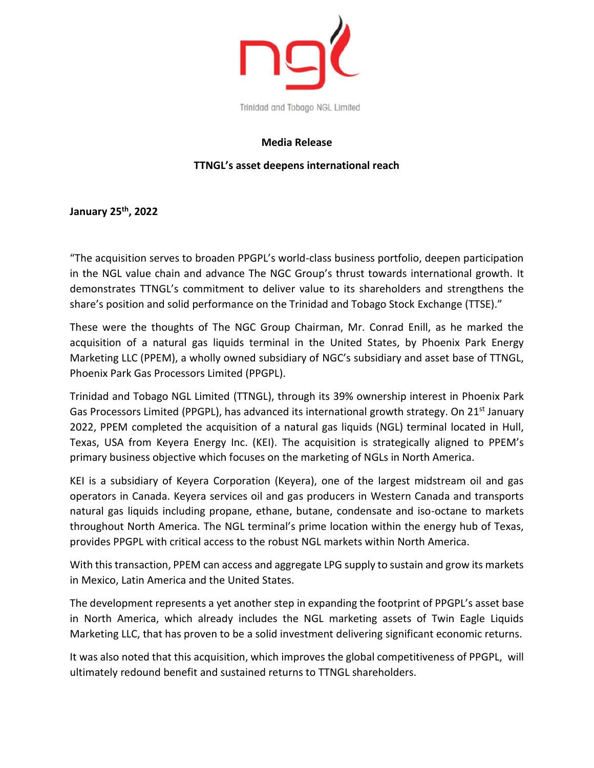

## **Media Release**

## **TTNGL's asset deepens international reach**

**January 25th, 2022**

"The acquisition serves to broaden PPGPL's world-class business portfolio, deepen participation in the NGL value chain and advance The NGC Group's thrust towards international growth. It demonstrates TTNGL's commitment to deliver value to its shareholders and strengthens the share's position and solid performance on the Trinidad and Tobago Stock Exchange (TTSE)."

These were the thoughts of The NGC Group Chairman, Mr. Conrad Enill, as he marked the acquisition of a natural gas liquids terminal in the United States, by Phoenix Park Energy Marketing LLC (PPEM), a wholly owned subsidiary of NGC's subsidiary and asset base of TTNGL, Phoenix Park Gas Processors Limited (PPGPL).

Trinidad and Tobago NGL Limited (TTNGL), through its 39% ownership interest in Phoenix Park Gas Processors Limited (PPGPL), has advanced its international growth strategy. On 21<sup>st</sup> January 2022, PPEM completed the acquisition of a natural gas liquids (NGL) terminal located in Hull, Texas, USA from Keyera Energy Inc. (KEI). The acquisition is strategically aligned to PPEM's primary business objective which focuses on the marketing of NGLs in North America.

KEI is a subsidiary of Keyera Corporation (Keyera), one of the largest midstream oil and gas operators in Canada. Keyera services oil and gas producers in Western Canada and transports natural gas liquids including propane, ethane, butane, condensate and iso-octane to markets throughout North America. The NGL terminal's prime location within the energy hub of Texas, provides PPGPL with critical access to the robust NGL markets within North America.

With this transaction, PPEM can access and aggregate LPG supply to sustain and grow its markets in Mexico, Latin America and the United States.

The development represents a yet another step in expanding the footprint of PPGPL's asset base in North America, which already includes the NGL marketing assets of Twin Eagle Liquids Marketing LLC, that has proven to be a solid investment delivering significant economic returns.

It was also noted that this acquisition, which improves the global competitiveness of PPGPL, will ultimately redound benefit and sustained returns to TTNGL shareholders.